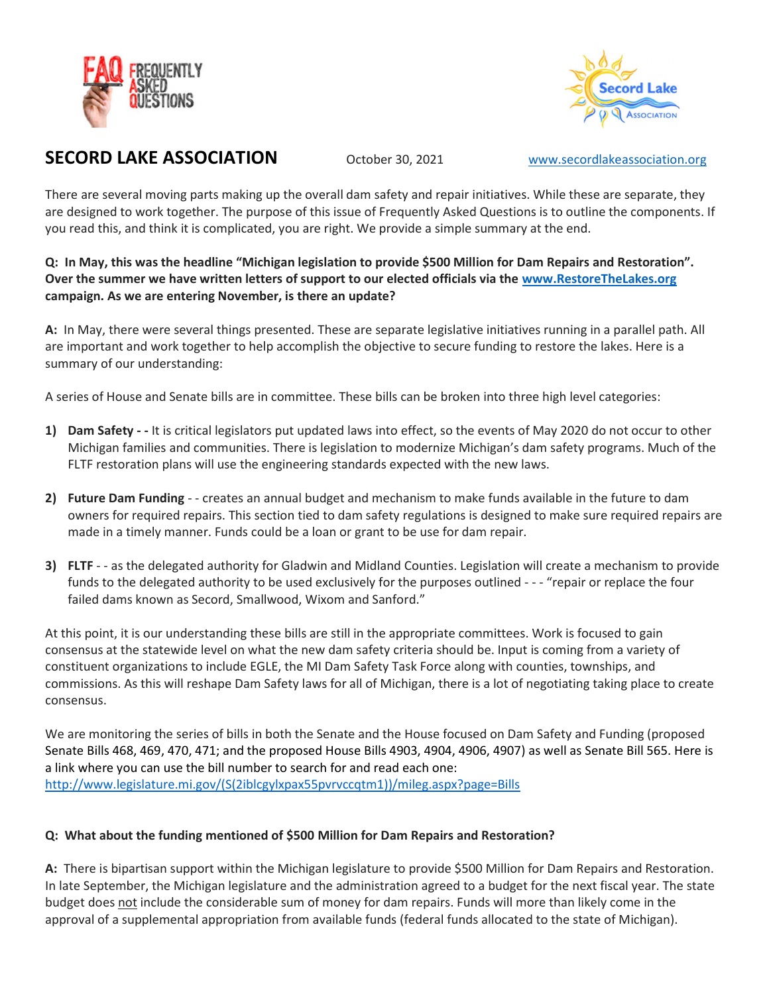



# SECORD LAKE ASSOCIATION October 30, 2021 www.secordlakeassociation.org

There are several moving parts making up the overall dam safety and repair initiatives. While these are separate, they are designed to work together. The purpose of this issue of Frequently Asked Questions is to outline the components. If you read this, and think it is complicated, you are right. We provide a simple summary at the end.

Q: In May, this was the headline "Michigan legislation to provide \$500 Million for Dam Repairs and Restoration". Over the summer we have written letters of support to our elected officials via the www.RestoreTheLakes.org campaign. As we are entering November, is there an update?

A: In May, there were several things presented. These are separate legislative initiatives running in a parallel path. All are important and work together to help accomplish the objective to secure funding to restore the lakes. Here is a summary of our understanding:

A series of House and Senate bills are in committee. These bills can be broken into three high level categories:

- 1) Dam Safety - It is critical legislators put updated laws into effect, so the events of May 2020 do not occur to other Michigan families and communities. There is legislation to modernize Michigan's dam safety programs. Much of the FLTF restoration plans will use the engineering standards expected with the new laws.
- 2) Future Dam Funding - creates an annual budget and mechanism to make funds available in the future to dam owners for required repairs. This section tied to dam safety regulations is designed to make sure required repairs are made in a timely manner. Funds could be a loan or grant to be use for dam repair.
- 3) FLTF - as the delegated authority for Gladwin and Midland Counties. Legislation will create a mechanism to provide funds to the delegated authority to be used exclusively for the purposes outlined - - - "repair or replace the four failed dams known as Secord, Smallwood, Wixom and Sanford."

At this point, it is our understanding these bills are still in the appropriate committees. Work is focused to gain consensus at the statewide level on what the new dam safety criteria should be. Input is coming from a variety of constituent organizations to include EGLE, the MI Dam Safety Task Force along with counties, townships, and commissions. As this will reshape Dam Safety laws for all of Michigan, there is a lot of negotiating taking place to create consensus.

We are monitoring the series of bills in both the Senate and the House focused on Dam Safety and Funding (proposed Senate Bills 468, 469, 470, 471; and the proposed House Bills 4903, 4904, 4906, 4907) as well as Senate Bill 565. Here is a link where you can use the bill number to search for and read each one: http://www.legislature.mi.gov/(S(2iblcgylxpax55pvrvccqtm1))/mileg.aspx?page=Bills

## Q: What about the funding mentioned of \$500 Million for Dam Repairs and Restoration?

A: There is bipartisan support within the Michigan legislature to provide \$500 Million for Dam Repairs and Restoration. In late September, the Michigan legislature and the administration agreed to a budget for the next fiscal year. The state budget does not include the considerable sum of money for dam repairs. Funds will more than likely come in the approval of a supplemental appropriation from available funds (federal funds allocated to the state of Michigan).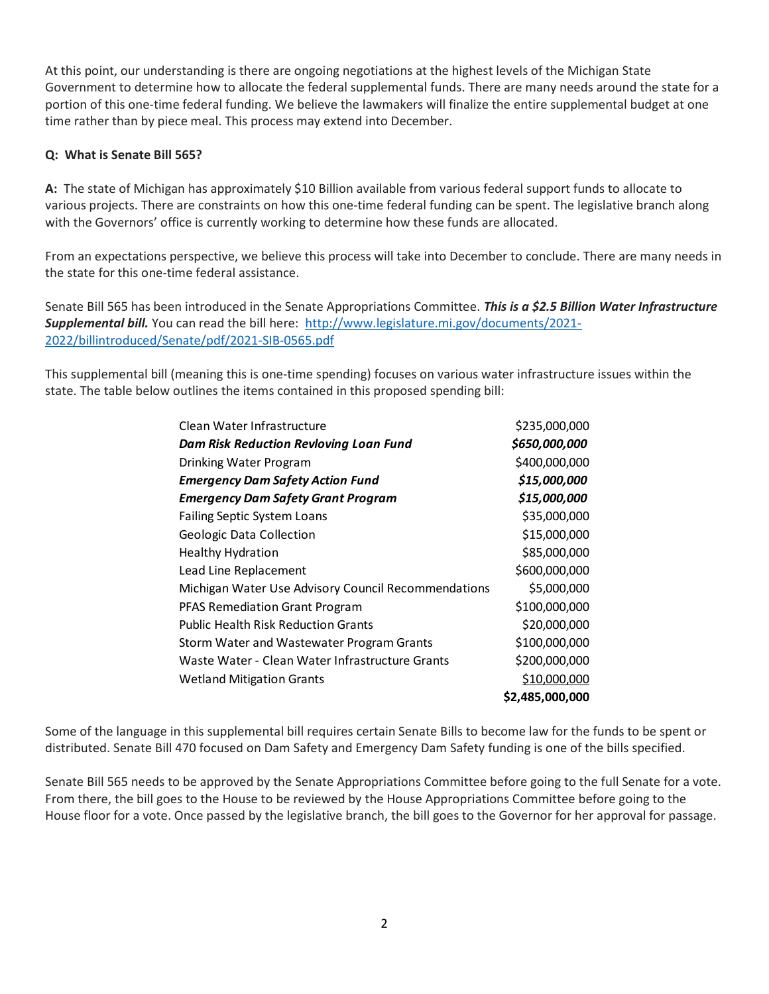At this point, our understanding is there are ongoing negotiations at the highest levels of the Michigan State Government to determine how to allocate the federal supplemental funds. There are many needs around the state for a portion of this one-time federal funding. We believe the lawmakers will finalize the entire supplemental budget at one time rather than by piece meal. This process may extend into December.

### Q: What is Senate Bill 565?

A: The state of Michigan has approximately \$10 Billion available from various federal support funds to allocate to various projects. There are constraints on how this one-time federal funding can be spent. The legislative branch along with the Governors' office is currently working to determine how these funds are allocated.

From an expectations perspective, we believe this process will take into December to conclude. There are many needs in the state for this one-time federal assistance.

Senate Bill 565 has been introduced in the Senate Appropriations Committee. This is a \$2.5 Billion Water Infrastructure Supplemental bill. You can read the bill here: http://www.legislature.mi.gov/documents/2021-2022/billintroduced/Senate/pdf/2021-SIB-0565.pdf

This supplemental bill (meaning this is one-time spending) focuses on various water infrastructure issues within the state. The table below outlines the items contained in this proposed spending bill:

| 565?                                                                                                                                                                                                                                                                     |               |  |
|--------------------------------------------------------------------------------------------------------------------------------------------------------------------------------------------------------------------------------------------------------------------------|---------------|--|
| an has approximately \$10 Billion available from various federal support funds to allocate to<br>are constraints on how this one-time federal funding can be spent. The legislative branch along<br>ice is currently working to determine how these funds are allocated. |               |  |
| erspective, we believe this process will take into December to conclude. There are many needs in<br>me federal assistance.                                                                                                                                               |               |  |
| n introduced in the Senate Appropriations Committee. This is a \$2.5 Billion Water Infrastructure<br>can read the bill here: http://www.legislature.mi.gov/documents/2021-<br>nate/pdf/2021-SIB-0565.pdf                                                                 |               |  |
|                                                                                                                                                                                                                                                                          |               |  |
| meaning this is one-time spending) focuses on various water infrastructure issues within the<br>butlines the items contained in this proposed spending bill:                                                                                                             |               |  |
|                                                                                                                                                                                                                                                                          |               |  |
| Clean Water Infrastructure                                                                                                                                                                                                                                               | \$235,000,000 |  |
| <b>Dam Risk Reduction Revloving Loan Fund</b>                                                                                                                                                                                                                            | \$650,000,000 |  |
| Drinking Water Program                                                                                                                                                                                                                                                   | \$400,000,000 |  |
| <b>Emergency Dam Safety Action Fund</b>                                                                                                                                                                                                                                  | \$15,000,000  |  |
| <b>Emergency Dam Safety Grant Program</b>                                                                                                                                                                                                                                | \$15,000,000  |  |
| Failing Septic System Loans                                                                                                                                                                                                                                              | \$35,000,000  |  |
| Geologic Data Collection                                                                                                                                                                                                                                                 | \$15,000,000  |  |
| <b>Healthy Hydration</b>                                                                                                                                                                                                                                                 | \$85,000,000  |  |
| Lead Line Replacement                                                                                                                                                                                                                                                    | \$600,000,000 |  |
| Michigan Water Use Advisory Council Recommendations                                                                                                                                                                                                                      | \$5,000,000   |  |
| PFAS Remediation Grant Program                                                                                                                                                                                                                                           | \$100,000,000 |  |
| <b>Public Health Risk Reduction Grants</b>                                                                                                                                                                                                                               | \$20,000,000  |  |
| Storm Water and Wastewater Program Grants                                                                                                                                                                                                                                | \$100,000,000 |  |
| Waste Water - Clean Water Infrastructure Grants                                                                                                                                                                                                                          | \$200,000,000 |  |
| <b>Wetland Mitigation Grants</b>                                                                                                                                                                                                                                         | \$10,000,000  |  |

Some of the language in this supplemental bill requires certain Senate Bills to become law for the funds to be spent or distributed. Senate Bill 470 focused on Dam Safety and Emergency Dam Safety funding is one of the bills specified.

Senate Bill 565 needs to be approved by the Senate Appropriations Committee before going to the full Senate for a vote. From there, the bill goes to the House to be reviewed by the House Appropriations Committee before going to the House floor for a vote. Once passed by the legislative branch, the bill goes to the Governor for her approval for passage.